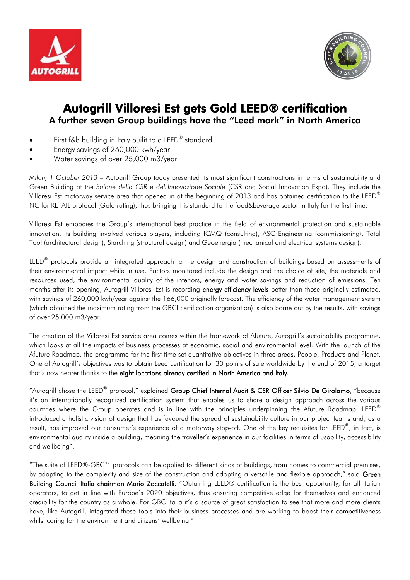



## Autogrill Villoresi Est gets Gold LEED® certification A further seven Group buildings have the "Leed mark" in North America

- First f&b building in Italy builit to a LEED® standard
- Energy savings of 260,000 kwh/year
- Water savings of over 25,000 m3/year

*Milan, 1 October 2013* – Autogrill Group today presented its most significant constructions in terms of sustainability and Green Building at the *Salone della CSR e dell'Innovazione Sociale* (CSR and Social Innovation Expo). They include the Villoresi Est motorway service area that opened in at the beginning of 2013 and has obtained certification to the LEED® NC for RETAIL protocol (Gold rating), thus bringing this standard to the food&beverage sector in Italy for the first time.

Villoresi Est embodies the Group's international best practice in the field of environmental protection and sustainable innovation. Its building involved various players, including ICMQ (consulting), ASC Engineering (commissioning), Total Tool (architectural design), Starching (structural design) and Geoenergia (mechanical and electrical systems design).

LEED<sup>®</sup> protocols provide an integrated approach to the design and construction of buildings based on assessments of their environmental impact while in use. Factors monitored include the design and the choice of site, the materials and resources used, the environmental quality of the interiors, energy and water savings and reduction of emissions. Ten months after its opening, Autogrill Villoresi Est is recording energy efficiency levels better than those originally estimated, with savings of 260,000 kwh/year against the 166,000 originally forecast. The efficiency of the water management system (which obtained the maximum rating from the GBCI certification organization) is also borne out by the results, with savings of over 25,000 m3/year.

The creation of the Villoresi Est service area comes within the framework of Afuture, Autogrill's sustainability programme, which looks at all the impacts of business processes at economic, social and environmental level. With the launch of the Afuture Roadmap, the programme for the first time set quantitative objectives in three areas, People, Products and Planet. One of Autogrill's objectives was to obtain Leed certification for 30 points of sale worldwide by the end of 2015, a target that's now nearer thanks to the eight locations already certified in North America and Italy.

"Autogrill chose the LEED® protocol," explained Group Chief Internal Audit & CSR Officer Silvio De Girolamo, "because it's an internationally recognized certification system that enables us to share a design approach across the various countries where the Group operates and is in line with the principles underpinning the Afuture Roadmap. LEED® introduced a holistic vision of design that has favoured the spread of sustainability culture in our project teams and, as a result, has improved our consumer's experience of a motorway stop-off. One of the key requisites for LEED<sup>®</sup>, in fact, is environmental quality inside a building, meaning the traveller's experience in our facilities in terms of usability, accessibility and wellbeing".

"The suite of LEED®-GBC™ protocols can be applied to different kinds of buildings, from homes to commercial premises, by adapting to the complexity and size of the construction and adopting a versatile and flexible approach," said Green Building Council Italia chairman Mario Zoccatelli. "Obtaining LEED® certification is the best opportunity, for all Italian operators, to get in line with Europe's 2020 objectives, thus ensuring competitive edge for themselves and enhanced credibility for the country as a whole. For GBC Italia it's a source of great satisfaction to see that more and more clients have, like Autogrill, integrated these tools into their business processes and are working to boost their competitiveness whilst caring for the environment and citizens' wellbeing."